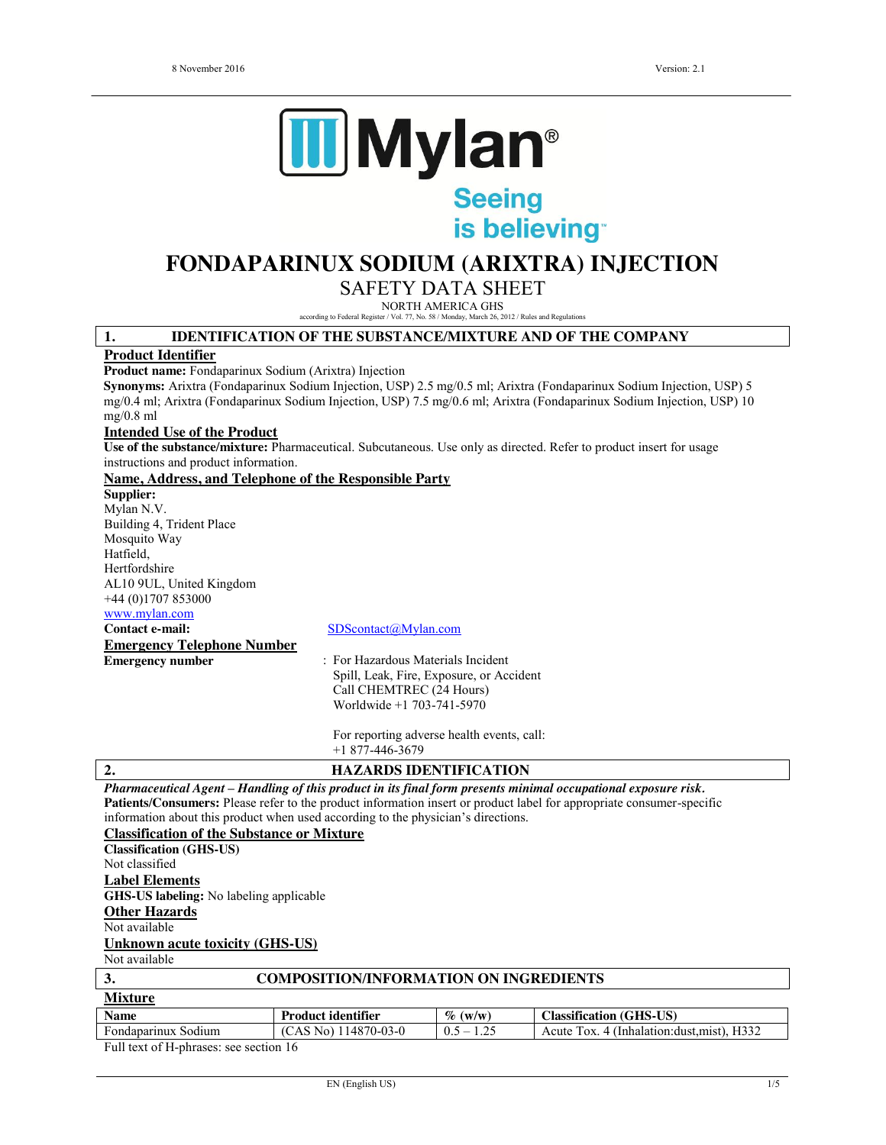

is believing

# **FONDAPARINUX SODIUM (ARIXTRA) INJECTION**

SAFETY DATA SHEET

NORTH AMERICA GHS

according to Federal Register / Vol. 77, No. 58 / Monday, March 26, 2012 / Rules and Regulations

#### **1. IDENTIFICATION OF THE SUBSTANCE/MIXTURE AND OF THE COMPANY**

#### **Product Identifier**

**Product name:** Fondaparinux Sodium (Arixtra) Injection

**Synonyms:** Arixtra (Fondaparinux Sodium Injection, USP) 2.5 mg/0.5 ml; Arixtra (Fondaparinux Sodium Injection, USP) 5 mg/0.4 ml; Arixtra (Fondaparinux Sodium Injection, USP) 7.5 mg/0.6 ml; Arixtra (Fondaparinux Sodium Injection, USP) 10 mg/0.8 ml

#### **Intended Use of the Product**

**Use of the substance/mixture:** Pharmaceutical. Subcutaneous. Use only as directed. Refer to product insert for usage instructions and product information.

#### **Name, Address, and Telephone of the Responsible Party**

**Supplier:** Mylan N.V. Building 4, Trident Place Mosquito Way Hatfield, Hertfordshire AL10 9UL, United Kingdom +44 (0)1707 853000

www.mylan.com

**Emergency Telephone Number**

#### **Contact e-mail:** SDScontact@Mylan.com

**Emergency number** : For Hazardous Materials Incident Spill, Leak, Fire, Exposure, or Accident Call CHEMTREC (24 Hours) Worldwide +1 703-741-5970

> For reporting adverse health events, call: +1 877-446-3679

# **2. HAZARDS IDENTIFICATION**

*Pharmaceutical Agent – Handling of this product in its final form presents minimal occupational exposure risk.* **Patients/Consumers:** Please refer to the product information insert or product label for appropriate consumer-specific information about this product when used according to the physician's directions.

#### **Classification of the Substance or Mixture**

**Classification (GHS-US)** Not classified **Label Elements GHS-US labeling:** No labeling applicable

**Other Hazards**

Not available

#### **Unknown acute toxicity (GHS-US)**

Not available

| $\mathfrak{I}$      | <b>COMPOSITION/INFORMATION ON INGREDIENTS</b> |              |                                             |
|---------------------|-----------------------------------------------|--------------|---------------------------------------------|
| <b>Mixture</b>      |                                               |              |                                             |
| <b>Name</b>         | <b>Product identifier</b>                     | $\%$ (w/w)   | <b>Classification (GHS-US)</b>              |
| Fondaparinux Sodium | $(CAS No)$ 114870-03-0                        | $0.5 - 1.25$ | Acute Tox. 4 (Inhalation: dust, mist), H332 |
| $-11$ $-11$ $-12$   | .                                             |              |                                             |

Full text of H-phrases: see section 16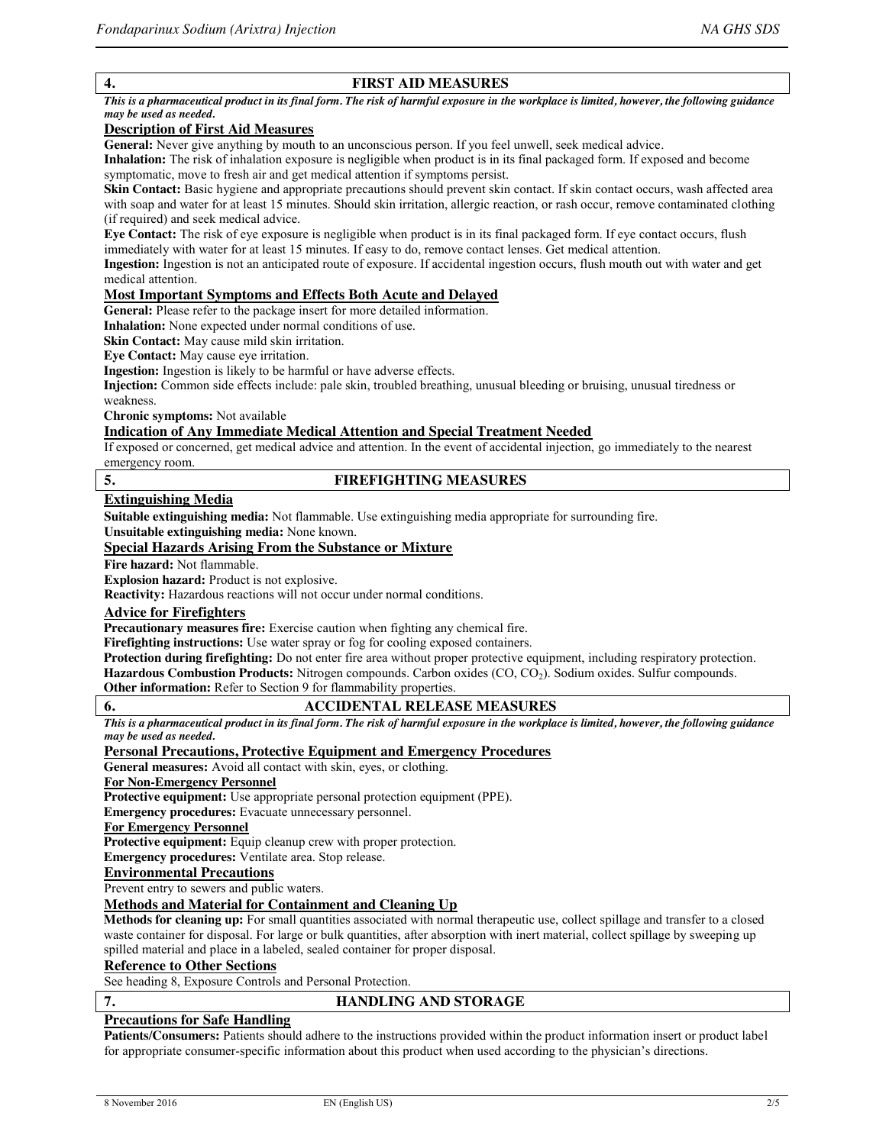# **4. FIRST AID MEASURES**

*This is a pharmaceutical product in its final form. The risk of harmful exposure in the workplace is limited, however, the following guidance may be used as needed.*

# **Description of First Aid Measures**

**General:** Never give anything by mouth to an unconscious person. If you feel unwell, seek medical advice.

**Inhalation:** The risk of inhalation exposure is negligible when product is in its final packaged form. If exposed and become symptomatic, move to fresh air and get medical attention if symptoms persist.

**Skin Contact:** Basic hygiene and appropriate precautions should prevent skin contact. If skin contact occurs, wash affected area with soap and water for at least 15 minutes. Should skin irritation, allergic reaction, or rash occur, remove contaminated clothing (if required) and seek medical advice.

**Eye Contact:** The risk of eye exposure is negligible when product is in its final packaged form. If eye contact occurs, flush immediately with water for at least 15 minutes. If easy to do, remove contact lenses. Get medical attention.

**Ingestion:** Ingestion is not an anticipated route of exposure. If accidental ingestion occurs, flush mouth out with water and get medical attention.

# **Most Important Symptoms and Effects Both Acute and Delayed**

**General:** Please refer to the package insert for more detailed information.

**Inhalation:** None expected under normal conditions of use.

**Skin Contact:** May cause mild skin irritation.

**Eye Contact:** May cause eye irritation.

**Ingestion:** Ingestion is likely to be harmful or have adverse effects.

**Injection:** Common side effects include: pale skin, troubled breathing, unusual bleeding or bruising, unusual tiredness or weakness.

**Chronic symptoms:** Not available

#### **Indication of Any Immediate Medical Attention and Special Treatment Needed**

If exposed or concerned, get medical advice and attention. In the event of accidental injection, go immediately to the nearest emergency room.

# **5. FIREFIGHTING MEASURES**

#### **Extinguishing Media**

**Suitable extinguishing media:** Not flammable. Use extinguishing media appropriate for surrounding fire.

**Unsuitable extinguishing media:** None known.

# **Special Hazards Arising From the Substance or Mixture**

**Fire hazard:** Not flammable.

**Explosion hazard:** Product is not explosive.

**Reactivity:** Hazardous reactions will not occur under normal conditions.

# **Advice for Firefighters**

**Precautionary measures fire:** Exercise caution when fighting any chemical fire.

**Firefighting instructions:** Use water spray or fog for cooling exposed containers.

**Protection during firefighting:** Do not enter fire area without proper protective equipment, including respiratory protection. Hazardous Combustion Products: Nitrogen compounds. Carbon oxides (CO, CO<sub>2</sub>). Sodium oxides. Sulfur compounds. **Other information:** Refer to Section 9 for flammability properties.

# **6. ACCIDENTAL RELEASE MEASURES**

*This is a pharmaceutical product in its final form. The risk of harmful exposure in the workplace is limited, however, the following guidance may be used as needed.*

# **Personal Precautions, Protective Equipment and Emergency Procedures**

**General measures:** Avoid all contact with skin, eyes, or clothing.

#### **For Non-Emergency Personnel**

**Protective equipment:** Use appropriate personal protection equipment (PPE).

**Emergency procedures:** Evacuate unnecessary personnel.

## **For Emergency Personnel**

**Protective equipment:** Equip cleanup crew with proper protection.

**Emergency procedures:** Ventilate area. Stop release.

#### **Environmental Precautions**

Prevent entry to sewers and public waters.

# **Methods and Material for Containment and Cleaning Up**

**Methods for cleaning up:** For small quantities associated with normal therapeutic use, collect spillage and transfer to a closed waste container for disposal. For large or bulk quantities, after absorption with inert material, collect spillage by sweeping up spilled material and place in a labeled, sealed container for proper disposal.

#### **Reference to Other Sections**

See heading 8, Exposure Controls and Personal Protection.

# **7. HANDLING AND STORAGE**

#### **Precautions for Safe Handling**

**Patients/Consumers:** Patients should adhere to the instructions provided within the product information insert or product label for appropriate consumer-specific information about this product when used according to the physician's directions.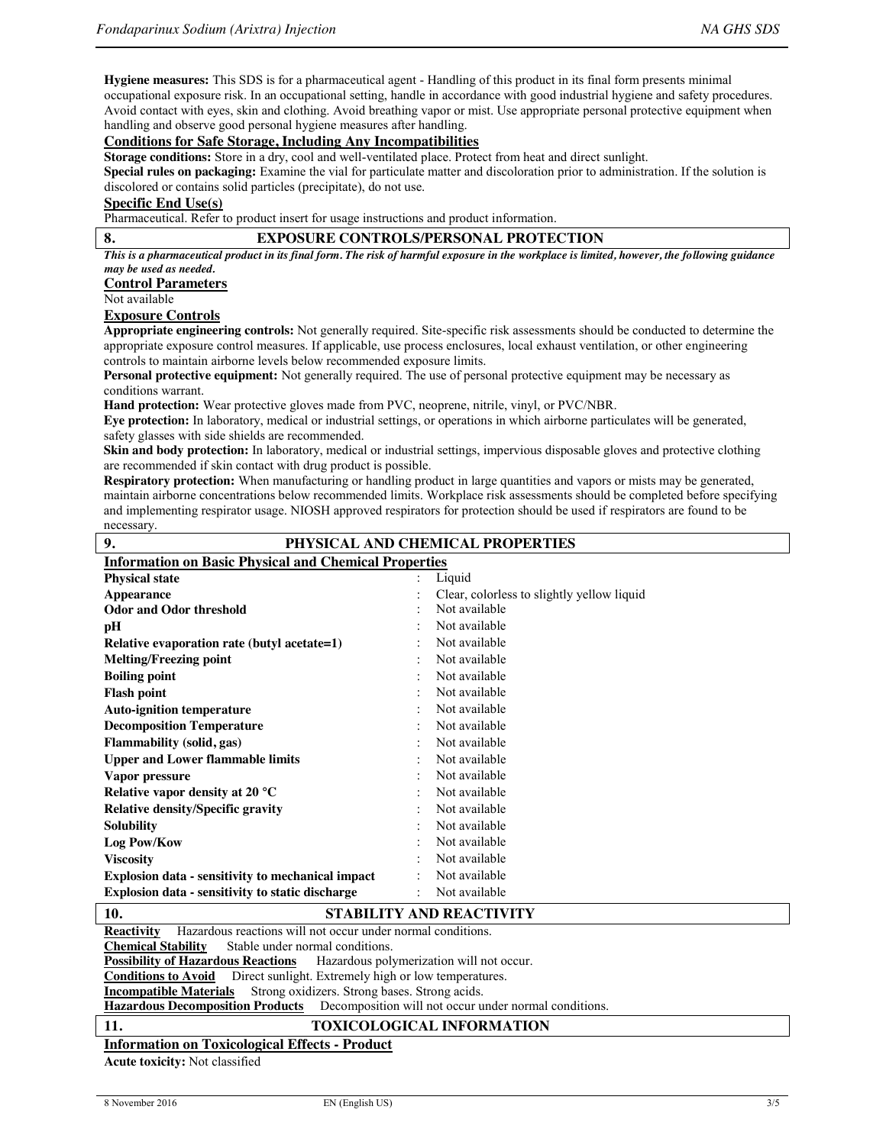**Hygiene measures:** This SDS is for a pharmaceutical agent - Handling of this product in its final form presents minimal occupational exposure risk. In an occupational setting, handle in accordance with good industrial hygiene and safety procedures. Avoid contact with eyes, skin and clothing. Avoid breathing vapor or mist. Use appropriate personal protective equipment when handling and observe good personal hygiene measures after handling.

### **Conditions for Safe Storage, Including Any Incompatibilities**

**Storage conditions:** Store in a dry, cool and well-ventilated place. Protect from heat and direct sunlight.

**Special rules on packaging:** Examine the vial for particulate matter and discoloration prior to administration. If the solution is discolored or contains solid particles (precipitate), do not use.

# **Specific End Use(s)**

Pharmaceutical. Refer to product insert for usage instructions and product information.

# **8. EXPOSURE CONTROLS/PERSONAL PROTECTION**

*This is a pharmaceutical product in its final form. The risk of harmful exposure in the workplace is limited, however, the following guidance may be used as needed.*

**Control Parameters**

Not available

#### **Exposure Controls**

**Appropriate engineering controls:** Not generally required. Site-specific risk assessments should be conducted to determine the appropriate exposure control measures. If applicable, use process enclosures, local exhaust ventilation, or other engineering controls to maintain airborne levels below recommended exposure limits.

**Personal protective equipment:** Not generally required. The use of personal protective equipment may be necessary as conditions warrant.

**Hand protection:** Wear protective gloves made from PVC, neoprene, nitrile, vinyl, or PVC/NBR.

**Eye protection:** In laboratory, medical or industrial settings, or operations in which airborne particulates will be generated, safety glasses with side shields are recommended.

**Skin and body protection:** In laboratory, medical or industrial settings, impervious disposable gloves and protective clothing are recommended if skin contact with drug product is possible.

**Respiratory protection:** When manufacturing or handling product in large quantities and vapors or mists may be generated, maintain airborne concentrations below recommended limits. Workplace risk assessments should be completed before specifying and implementing respirator usage. NIOSH approved respirators for protection should be used if respirators are found to be necessary. **9. PHYSICAL AND CHEMICAL PROPERTIES**

| ,,                                                           | THI SICAL AND CHEMICAL I NOT ENTILS        |  |  |  |
|--------------------------------------------------------------|--------------------------------------------|--|--|--|
| <b>Information on Basic Physical and Chemical Properties</b> |                                            |  |  |  |
| <b>Physical state</b>                                        | Liquid<br>$\bullet$                        |  |  |  |
| Appearance                                                   | Clear, colorless to slightly yellow liquid |  |  |  |
| <b>Odor and Odor threshold</b>                               | Not available                              |  |  |  |
| pH                                                           | Not available                              |  |  |  |
| Relative evaporation rate (butyl acetate=1)                  | Not available                              |  |  |  |
| <b>Melting/Freezing point</b>                                | Not available                              |  |  |  |
| <b>Boiling point</b>                                         | Not available                              |  |  |  |
| <b>Flash point</b>                                           | Not available                              |  |  |  |
| <b>Auto-ignition temperature</b>                             | Not available                              |  |  |  |
| <b>Decomposition Temperature</b>                             | Not available                              |  |  |  |
| Flammability (solid, gas)                                    | Not available                              |  |  |  |
| <b>Upper and Lower flammable limits</b>                      | Not available                              |  |  |  |
| Vapor pressure                                               | Not available                              |  |  |  |
| Relative vapor density at 20 $\,^{\circ}\mathrm{C}$          | Not available                              |  |  |  |
| <b>Relative density/Specific gravity</b>                     | Not available                              |  |  |  |
| <b>Solubility</b>                                            | Not available                              |  |  |  |
| Log Pow/Kow                                                  | Not available                              |  |  |  |
| <b>Viscosity</b>                                             | Not available                              |  |  |  |
| <b>Explosion data - sensitivity to mechanical impact</b>     | Not available                              |  |  |  |
| Explosion data - sensitivity to static discharge             | Not available                              |  |  |  |
| $\mathbf{A}$<br>COLOUI FOV AND DEA COUVERY                   |                                            |  |  |  |



#### **10. STABILITY AND REACTIVITY**

**Reactivity** Hazardous reactions will not occur under normal conditions.<br>Chemical Stability Stable under normal conditions. Stable under normal conditions. **Possibility of Hazardous Reactions** Hazardous polymerization will not occur. **Conditions to Avoid** Direct sunlight. Extremely high or low temperatures. **Incompatible Materials** Strong oxidizers. Strong bases. Strong acids.<br>**Hazardous Decomposition Products** Decomposition will not occur u Decomposition will not occur under normal conditions. **11. TOXICOLOGICAL INFORMATION Information on Toxicological Effects - Product**

**Acute toxicity:** Not classified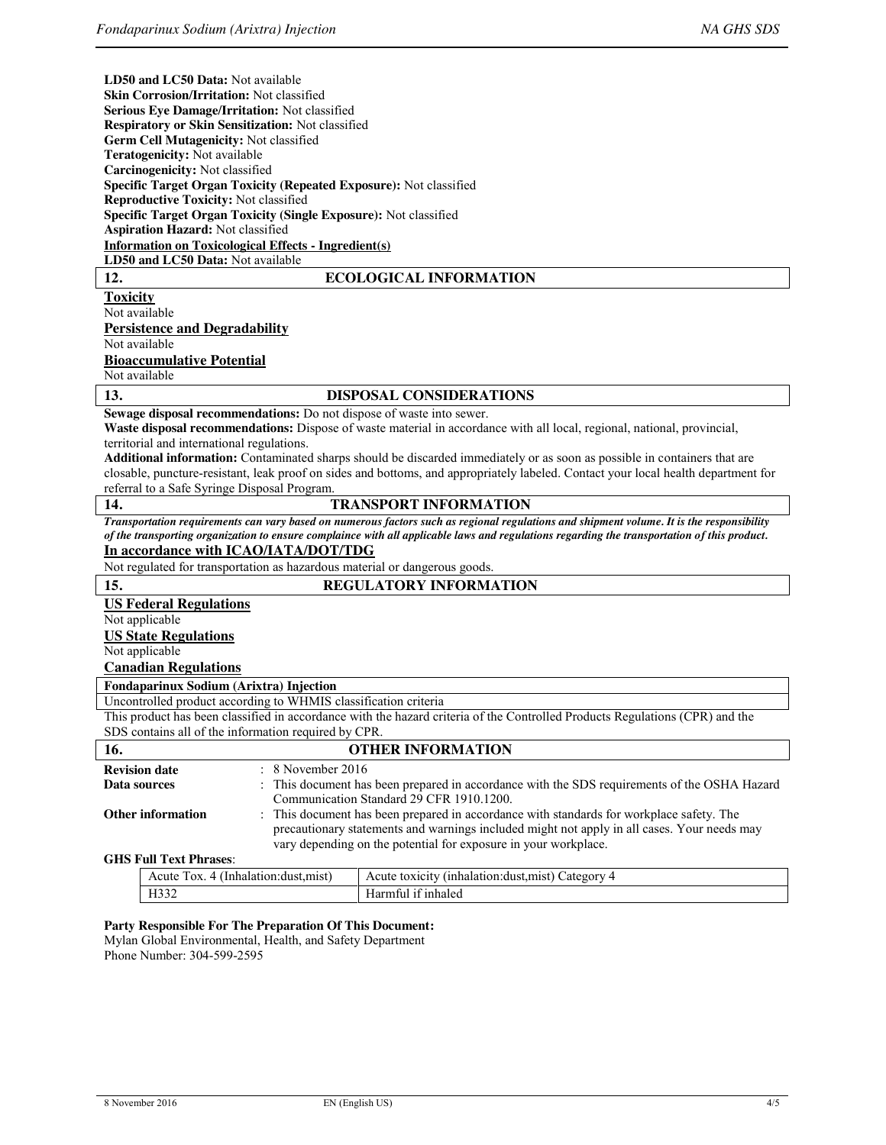**LD50 and LC50 Data:** Not available **Skin Corrosion/Irritation:** Not classified **Serious Eye Damage/Irritation:** Not classified

| Respiratory or Skin Sensitization: Not classified                                                                                            |  |  |  |  |
|----------------------------------------------------------------------------------------------------------------------------------------------|--|--|--|--|
| Germ Cell Mutagenicity: Not classified                                                                                                       |  |  |  |  |
| <b>Teratogenicity:</b> Not available                                                                                                         |  |  |  |  |
| Carcinogenicity: Not classified                                                                                                              |  |  |  |  |
| Specific Target Organ Toxicity (Repeated Exposure): Not classified                                                                           |  |  |  |  |
| <b>Reproductive Toxicity: Not classified</b>                                                                                                 |  |  |  |  |
| Specific Target Organ Toxicity (Single Exposure): Not classified                                                                             |  |  |  |  |
| <b>Aspiration Hazard: Not classified</b>                                                                                                     |  |  |  |  |
| <b>Information on Toxicological Effects - Ingredient(s)</b><br>LD50 and LC50 Data: Not available                                             |  |  |  |  |
| 12.<br><b>ECOLOGICAL INFORMATION</b>                                                                                                         |  |  |  |  |
| <b>Toxicity</b>                                                                                                                              |  |  |  |  |
| Not available                                                                                                                                |  |  |  |  |
| <b>Persistence and Degradability</b>                                                                                                         |  |  |  |  |
| Not available                                                                                                                                |  |  |  |  |
| <b>Bioaccumulative Potential</b>                                                                                                             |  |  |  |  |
| Not available                                                                                                                                |  |  |  |  |
| 13.<br><b>DISPOSAL CONSIDERATIONS</b>                                                                                                        |  |  |  |  |
| Sewage disposal recommendations: Do not dispose of waste into sewer.                                                                         |  |  |  |  |
| Waste disposal recommendations: Dispose of waste material in accordance with all local, regional, national, provincial,                      |  |  |  |  |
| territorial and international regulations.                                                                                                   |  |  |  |  |
| <b>Additional information:</b> Contaminated sharps should be discarded immediately or as soon as possible in containers that are             |  |  |  |  |
| closable, puncture-resistant, leak proof on sides and bottoms, and appropriately labeled. Contact your local health department for           |  |  |  |  |
|                                                                                                                                              |  |  |  |  |
| referral to a Safe Syringe Disposal Program.                                                                                                 |  |  |  |  |
| 14.<br><b>TRANSPORT INFORMATION</b>                                                                                                          |  |  |  |  |
| Transportation requirements can vary based on numerous factors such as regional regulations and shipment volume. It is the responsibility    |  |  |  |  |
| of the transporting organization to ensure complaince with all applicable laws and regulations regarding the transportation of this product. |  |  |  |  |
| In accordance with ICAO/IATA/DOT/TDG                                                                                                         |  |  |  |  |
| Not regulated for transportation as hazardous material or dangerous goods.                                                                   |  |  |  |  |
| 15.<br><b>REGULATORY INFORMATION</b>                                                                                                         |  |  |  |  |
| <b>US Federal Regulations</b>                                                                                                                |  |  |  |  |
| Not applicable                                                                                                                               |  |  |  |  |
| <b>US State Regulations</b>                                                                                                                  |  |  |  |  |
| Not applicable                                                                                                                               |  |  |  |  |
| <b>Canadian Regulations</b>                                                                                                                  |  |  |  |  |
| <b>Fondaparinux Sodium (Arixtra) Injection</b>                                                                                               |  |  |  |  |
| Uncontrolled product according to WHMIS classification criteria                                                                              |  |  |  |  |
| This product has been classified in accordance with the hazard criteria of the Controlled Products Regulations (CPR) and the                 |  |  |  |  |
| SDS contains all of the information required by CPR.                                                                                         |  |  |  |  |
| 16.<br><b>OTHER INFORMATION</b>                                                                                                              |  |  |  |  |
| 8 November 2016<br><b>Revision date</b>                                                                                                      |  |  |  |  |
| This document has been prepared in accordance with the SDS requirements of the OSHA Hazard<br>Data sources                                   |  |  |  |  |
| Communication Standard 29 CFR 1910.1200.                                                                                                     |  |  |  |  |
| This document has been prepared in accordance with standards for workplace safety. The<br><b>Other information</b>                           |  |  |  |  |
| precautionary statements and warnings included might not apply in all cases. Your needs may                                                  |  |  |  |  |
| vary depending on the potential for exposure in your workplace.                                                                              |  |  |  |  |
| <b>GHS Full Text Phrases:</b><br>$\Lambda$ auto Toy $\Lambda$ (Inholation duct mist)<br>A qui toxique (inholation duct mist) Cotogous A      |  |  |  |  |

| nalation<br>dust.mist <br>TOX.<br>Acute<br>Inha | ategory<br>1n <sub>r</sub><br>halatıon:<br>Acute<br>toxicit<br>anst: |
|-------------------------------------------------|----------------------------------------------------------------------|
| $   -$<br>11 <i>33</i><br>____                  | -inhaled<br>$\mathbf{d}$ darr                                        |

#### **Party Responsible For The Preparation Of This Document:**

Mylan Global Environmental, Health, and Safety Department Phone Number: 304-599-2595